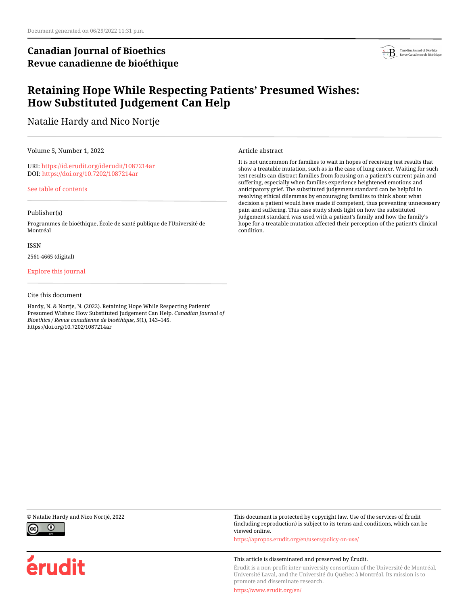## **Canadian Journal of Bioethics Revue canadienne de bioéthique**



## **Retaining Hope While Respecting Patients' Presumed Wishes: How Substituted Judgement Can Help**

Natalie Hardy and Nico Nortje

Volume 5, Number 1, 2022

URI:<https://id.erudit.org/iderudit/1087214ar> DOI:<https://doi.org/10.7202/1087214ar>

[See table of contents](https://www.erudit.org/en/journals/bioethics/2022-v5-n1-bioethics06848/)

### Publisher(s)

Programmes de bioéthique, École de santé publique de l'Université de Montréal

ISSN

2561-4665 (digital)

[Explore this journal](https://www.erudit.org/en/journals/bioethics/)

#### Cite this document

Hardy, N. & Nortje, N. (2022). Retaining Hope While Respecting Patients' Presumed Wishes: How Substituted Judgement Can Help. *Canadian Journal of Bioethics / Revue canadienne de bioéthique*, *5*(1), 143–145. https://doi.org/10.7202/1087214ar

Article abstract

It is not uncommon for families to wait in hopes of receiving test results that show a treatable mutation, such as in the case of lung cancer. Waiting for such test results can distract families from focusing on a patient's current pain and suffering, especially when families experience heightened emotions and anticipatory grief. The substituted judgement standard can be helpful in resolving ethical dilemmas by encouraging families to think about what decision a patient would have made if competent, thus preventing unnecessary pain and suffering. This case study sheds light on how the substituted judgement standard was used with a patient's family and how the family's hope for a treatable mutation affected their perception of the patient's clinical condition.



érudit

© Natalie Hardy and Nico Nortjé, 2022 This document is protected by copyright law. Use of the services of Érudit (including reproduction) is subject to its terms and conditions, which can be viewed online.

<https://apropos.erudit.org/en/users/policy-on-use/>

#### This article is disseminated and preserved by Érudit.

Érudit is a non-profit inter-university consortium of the Université de Montréal, Université Laval, and the Université du Québec à Montréal. Its mission is to promote and disseminate research.

<https://www.erudit.org/en/>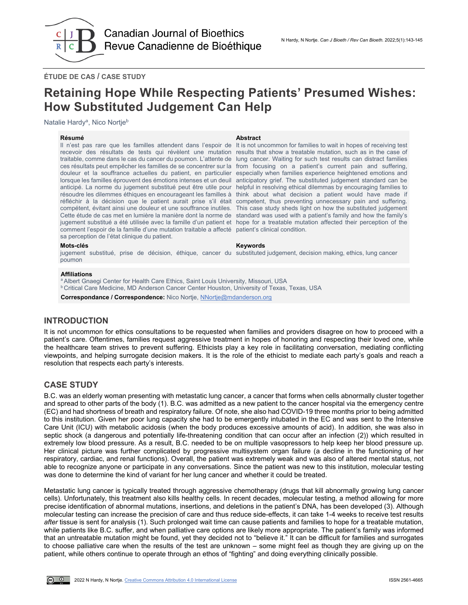

**ÉTUDE DE CAS / CASE STUDY**

# **Retaining Hope While Respecting Patients' Presumed Wishes: How Substituted Judgement Can Help**

Natalie Hardy<sup>a</sup>, Nico Nortje<sup>b</sup>

#### **Résumé Abstract**

Il n'est pas rare que les familles attendent dans l'espoir de recevoir des résultats de tests qui révèlent une mutation results that show a treatable mutation, such as in the case of traitable, comme dans le cas du cancer du poumon. L'attente de lung cancer. Waiting for such test results can distract families ces résultats peut empêcher les familles de se concentrer sur la from focusing on a patient's current pain and suffering, douleur et la souffrance actuelles du patient, en particulier especially when families experience heightened emotions and lorsque les familles éprouvent des émotions intenses et un deuil anticipatory grief. The substituted judgement standard can be anticipé. La norme du jugement substitué peut être utile pour helpful in resolving ethical dilemmas by encouraging families to résoudre les dilemmes éthiques en encourageant les familles à think about what decision a patient would have made if réfléchir à la décision que le patient aurait prise s'il était competent, thus preventing unnecessary pain and suffering. compétent, évitant ainsi une douleur et une souffrance inutiles. This case study sheds light on how the substituted judgement Cette étude de cas met en lumière la manière dont la norme de  $\,$ standard was used with a patient's family and how the family's jugement substitué a été utilisée avec la famille d'un patient et hope for a treatable mutation affected their perception of the comment l'espoir de la famille d'une mutation traitable a affecté patient's clinical condition. sa perception de l'état clinique du patient.

It is not uncommon for families to wait in hopes of receiving test

#### **Mots-clés Keywords**

jugement substitué, prise de décision, éthique, cancer du substituted judgement, decision making, ethics, lung cancer poumon

#### **Affiliations**

a Albert Gnaegi Center for Health Care Ethics, Saint Louis University, Missouri, USA

b Critical Care Medicine, MD Anderson Cancer Center Houston, University of Texas, Texas, USA

**Correspondance / Correspondence:** Nico Nortje, [NNortje@mdanderson.org](mailto:NNortje@mdanderson.org)

## **INTRODUCTION**

It is not uncommon for ethics consultations to be requested when families and providers disagree on how to proceed with a patient's care. Oftentimes, families request aggressive treatment in hopes of honoring and respecting their loved one, while the healthcare team strives to prevent suffering. Ethicists play a key role in facilitating conversation, mediating conflicting viewpoints, and helping surrogate decision makers. It is the role of the ethicist to mediate each party's goals and reach a resolution that respects each party's interests.

## **CASE STUDY**

B.C. was an elderly woman presenting with metastatic lung cancer, a cancer that forms when cells abnormally cluster together and spread to other parts of the body (1). B.C. was admitted as a new patient to the cancer hospital via the emergency centre (EC) and had shortness of breath and respiratory failure. Of note, she also had COVID-19 three months prior to being admitted to this institution. Given her poor lung capacity she had to be emergently intubated in the EC and was sent to the Intensive Care Unit (ICU) with metabolic acidosis (when the body produces excessive amounts of acid). In addition, she was also in septic shock (a dangerous and potentially life-threatening condition that can occur after an infection (2)) which resulted in extremely low blood pressure. As a result, B.C. needed to be on multiple vasopressors to help keep her blood pressure up. Her clinical picture was further complicated by progressive multisystem organ failure (a decline in the functioning of her respiratory, cardiac, and renal functions). Overall, the patient was extremely weak and was also of altered mental status, not able to recognize anyone or participate in any conversations. Since the patient was new to this institution, molecular testing was done to determine the kind of variant for her lung cancer and whether it could be treated.

Metastatic lung cancer is typically treated through aggressive chemotherapy (drugs that kill abnormally growing lung cancer cells). Unfortunately, this treatment also kills healthy cells. In recent decades, molecular testing, a method allowing for more precise identification of abnormal mutations, insertions, and deletions in the patient's DNA, has been developed (3). Although molecular testing can increase the precision of care and thus reduce side-effects, it can take 1-4 weeks to receive test results *after* tissue is sent for analysis (1). Such prolonged wait time can cause patients and families to hope for a treatable mutation, while patients like B.C. suffer, and when palliative care options are likely more appropriate. The patient's family was informed that an untreatable mutation might be found, yet they decided not to "believe it." It can be difficult for families and surrogates to choose palliative care when the results of the test are unknown – some might feel as though they are giving up on the patient, while others continue to operate through an ethos of "fighting" and doing everything clinically possible.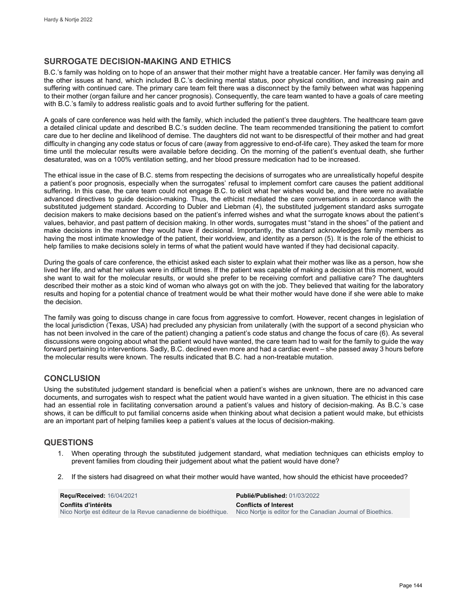## **SURROGATE DECISION-MAKING AND ETHICS**

B.C.'s family was holding on to hope of an answer that their mother might have a treatable cancer. Her family was denying all the other issues at hand, which included B.C.'s declining mental status, poor physical condition, and increasing pain and suffering with continued care. The primary care team felt there was a disconnect by the family between what was happening to their mother (organ failure and her cancer prognosis). Consequently, the care team wanted to have a goals of care meeting with B.C.'s family to address realistic goals and to avoid further suffering for the patient.

A goals of care conference was held with the family, which included the patient's three daughters. The healthcare team gave a detailed clinical update and described B.C.'s sudden decline. The team recommended transitioning the patient to comfort care due to her decline and likelihood of demise. The daughters did not want to be disrespectful of their mother and had great difficulty in changing any code status or focus of care (away from aggressive to end-of-life care). They asked the team for more time until the molecular results were available before deciding. On the morning of the patient's eventual death, she further desaturated, was on a 100% ventilation setting, and her blood pressure medication had to be increased.

The ethical issue in the case of B.C. stems from respecting the decisions of surrogates who are unrealistically hopeful despite a patient's poor prognosis, especially when the surrogates' refusal to implement comfort care causes the patient additional suffering. In this case, the care team could not engage B.C. to elicit what her wishes would be, and there were no available advanced directives to guide decision-making. Thus, the ethicist mediated the care conversations in accordance with the substituted judgement standard. According to Dubler and Liebman (4), the substituted judgement standard asks surrogate decision makers to make decisions based on the patient's inferred wishes and what the surrogate knows about the patient's values, behavior, and past pattern of decision making. In other words, surrogates must "stand in the shoes" of the patient and make decisions in the manner they would have if decisional. Importantly, the standard acknowledges family members as having the most intimate knowledge of the patient, their worldview, and identity as a person (5). It is the role of the ethicist to help families to make decisions solely in terms of what the patient would have wanted if they had decisional capacity.

During the goals of care conference, the ethicist asked each sister to explain what their mother was like as a person, how she lived her life, and what her values were in difficult times. If the patient was capable of making a decision at this moment, would she want to wait for the molecular results, or would she prefer to be receiving comfort and palliative care? The daughters described their mother as a stoic kind of woman who always got on with the job. They believed that waiting for the laboratory results and hoping for a potential chance of treatment would be what their mother would have done if she were able to make the decision.

The family was going to discuss change in care focus from aggressive to comfort. However, recent changes in legislation of the local jurisdiction (Texas, USA) had precluded any physician from unilaterally (with the support of a second physician who has not been involved in the care of the patient) changing a patient's code status and change the focus of care (6). As several discussions were ongoing about what the patient would have wanted, the care team had to wait for the family to guide the way forward pertaining to interventions. Sadly, B.C. declined even more and had a cardiac event – she passed away 3 hours before the molecular results were known. The results indicated that B.C. had a non-treatable mutation.

## **CONCLUSION**

Using the substituted judgement standard is beneficial when a patient's wishes are unknown, there are no advanced care documents, and surrogates wish to respect what the patient would have wanted in a given situation. The ethicist in this case had an essential role in facilitating conversation around a patient's values and history of decision-making. As B.C.'s case shows, it can be difficult to put familial concerns aside when thinking about what decision a patient would make, but ethicists are an important part of helping families keep a patient's values at the locus of decision-making.

## **QUESTIONS**

- 1. When operating through the substituted judgement standard, what mediation techniques can ethicists employ to prevent families from clouding their judgement about what the patient would have done?
- 2. If the sisters had disagreed on what their mother would have wanted, how should the ethicist have proceeded?

| <b>Recu/Received: 16/04/2021</b>                              | <b>Publié/Published: 01/03/2022</b>                          |
|---------------------------------------------------------------|--------------------------------------------------------------|
| Conflits d'intérêts                                           | <b>Conflicts of Interest</b>                                 |
| Nico Nortie est éditeur de la Revue canadienne de bioéthique. | Nico Nortie is editor for the Canadian Journal of Bioethics. |